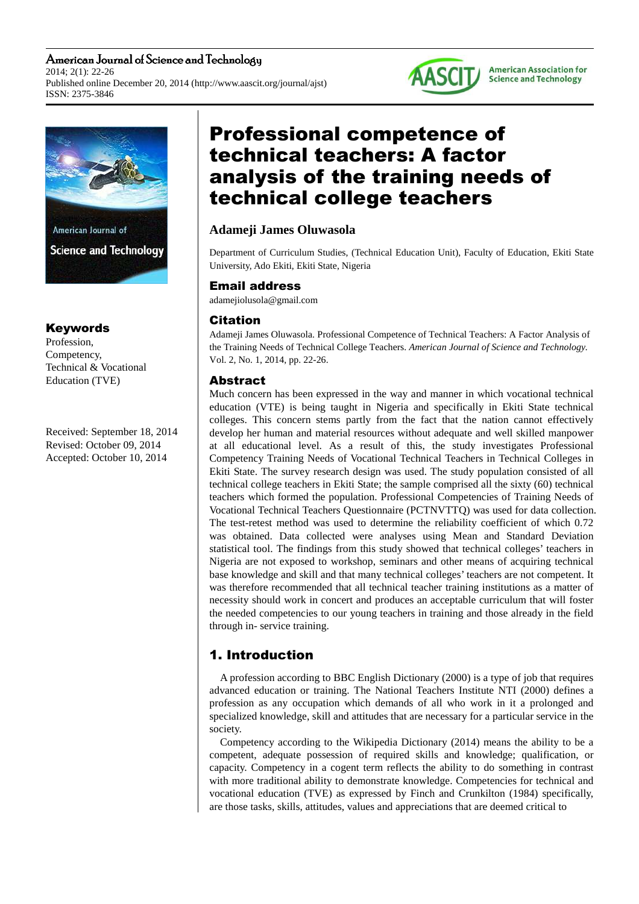American Journal of Science and Technology 2014; 2(1): 22-26 Published online December 20, 2014 (http://www.aascit.org/journal/ajst) ISSN: 2375-3846



## Keywords

Profession, Competency, Technical & Vocational Education (TVE)

Received: September 18, 2014 Revised: October 09, 2014 Accepted: October 10, 2014

# Professional competence of technical teachers: A factor analysis of the training needs of technical college teachers

# **Adameji James Oluwasola**

Department of Curriculum Studies, (Technical Education Unit), Faculty of Education, Ekiti State University, Ado Ekiti, Ekiti State, Nigeria

**AASCIT** 

**American Association for Science and Technology** 

## Email address

adamejiolusola@gmail.com

## **Citation**

Adameji James Oluwasola. Professional Competence of Technical Teachers: A Factor Analysis of the Training Needs of Technical College Teachers. *American Journal of Science and Technology.* Vol. 2, No. 1, 2014, pp. 22-26.

## Abstract

Much concern has been expressed in the way and manner in which vocational technical education (VTE) is being taught in Nigeria and specifically in Ekiti State technical colleges. This concern stems partly from the fact that the nation cannot effectively develop her human and material resources without adequate and well skilled manpower at all educational level. As a result of this, the study investigates Professional Competency Training Needs of Vocational Technical Teachers in Technical Colleges in Ekiti State. The survey research design was used. The study population consisted of all technical college teachers in Ekiti State; the sample comprised all the sixty (60) technical teachers which formed the population. Professional Competencies of Training Needs of Vocational Technical Teachers Questionnaire (PCTNVTTQ) was used for data collection. The test-retest method was used to determine the reliability coefficient of which 0.72 was obtained. Data collected were analyses using Mean and Standard Deviation statistical tool. The findings from this study showed that technical colleges' teachers in Nigeria are not exposed to workshop, seminars and other means of acquiring technical base knowledge and skill and that many technical colleges' teachers are not competent. It was therefore recommended that all technical teacher training institutions as a matter of necessity should work in concert and produces an acceptable curriculum that will foster the needed competencies to our young teachers in training and those already in the field through in- service training.

# 1. Introduction

A profession according to BBC English Dictionary (2000) is a type of job that requires advanced education or training. The National Teachers Institute NTI (2000) defines a profession as any occupation which demands of all who work in it a prolonged and specialized knowledge, skill and attitudes that are necessary for a particular service in the society.

Competency according to the Wikipedia Dictionary (2014) means the ability to be a competent, adequate possession of required skills and knowledge; qualification, or capacity. Competency in a cogent term reflects the ability to do something in contrast with more traditional ability to demonstrate knowledge. Competencies for technical and vocational education (TVE) as expressed by Finch and Crunkilton (1984) specifically, are those tasks, skills, attitudes, values and appreciations that are deemed critical to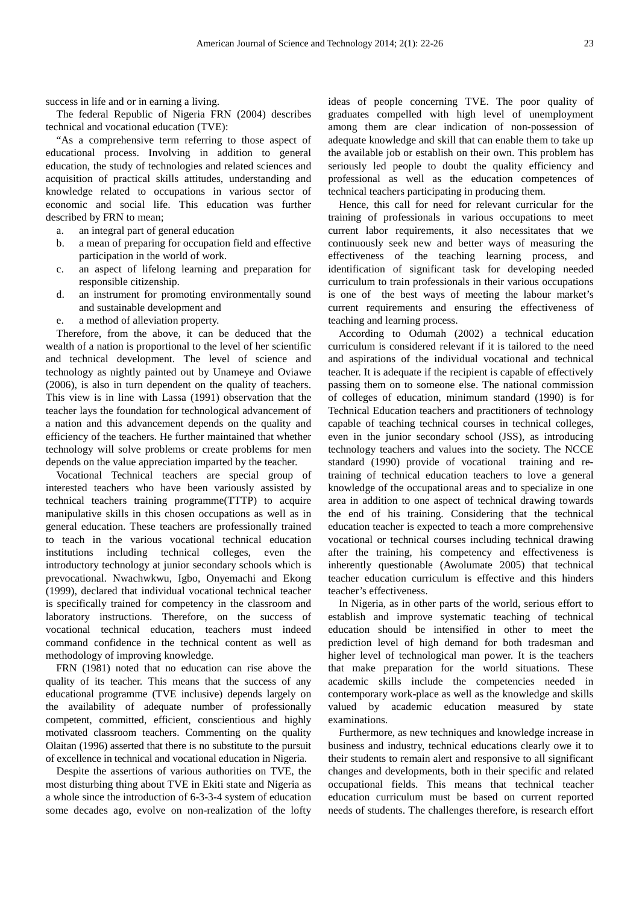success in life and or in earning a living.

The federal Republic of Nigeria FRN (2004) describes technical and vocational education (TVE):

"As a comprehensive term referring to those aspect of educational process. Involving in addition to general education, the study of technologies and related sciences and acquisition of practical skills attitudes, understanding and knowledge related to occupations in various sector of economic and social life. This education was further described by FRN to mean;

- a. an integral part of general education
- b. a mean of preparing for occupation field and effective participation in the world of work.
- c. an aspect of lifelong learning and preparation for responsible citizenship.
- d. an instrument for promoting environmentally sound and sustainable development and
- e. a method of alleviation property.

Therefore, from the above, it can be deduced that the wealth of a nation is proportional to the level of her scientific and technical development. The level of science and technology as nightly painted out by Unameye and Oviawe (2006), is also in turn dependent on the quality of teachers. This view is in line with Lassa (1991) observation that the teacher lays the foundation for technological advancement of a nation and this advancement depends on the quality and efficiency of the teachers. He further maintained that whether technology will solve problems or create problems for men depends on the value appreciation imparted by the teacher.

Vocational Technical teachers are special group of interested teachers who have been variously assisted by technical teachers training programme(TTTP) to acquire manipulative skills in this chosen occupations as well as in general education. These teachers are professionally trained to teach in the various vocational technical education institutions including technical colleges, even the introductory technology at junior secondary schools which is prevocational. Nwachwkwu, Igbo, Onyemachi and Ekong (1999), declared that individual vocational technical teacher is specifically trained for competency in the classroom and laboratory instructions. Therefore, on the success of vocational technical education, teachers must indeed command confidence in the technical content as well as methodology of improving knowledge.

FRN (1981) noted that no education can rise above the quality of its teacher. This means that the success of any educational programme (TVE inclusive) depends largely on the availability of adequate number of professionally competent, committed, efficient, conscientious and highly motivated classroom teachers. Commenting on the quality Olaitan (1996) asserted that there is no substitute to the pursuit of excellence in technical and vocational education in Nigeria.

Despite the assertions of various authorities on TVE, the most disturbing thing about TVE in Ekiti state and Nigeria as a whole since the introduction of 6-3-3-4 system of education some decades ago, evolve on non-realization of the lofty

ideas of people concerning TVE. The poor quality of graduates compelled with high level of unemployment among them are clear indication of non-possession of adequate knowledge and skill that can enable them to take up the available job or establish on their own. This problem has seriously led people to doubt the quality efficiency and professional as well as the education competences of technical teachers participating in producing them.

Hence, this call for need for relevant curricular for the training of professionals in various occupations to meet current labor requirements, it also necessitates that we continuously seek new and better ways of measuring the effectiveness of the teaching learning process, and identification of significant task for developing needed curriculum to train professionals in their various occupations is one of the best ways of meeting the labour market's current requirements and ensuring the effectiveness of teaching and learning process.

According to Odumah (2002) a technical education curriculum is considered relevant if it is tailored to the need and aspirations of the individual vocational and technical teacher. It is adequate if the recipient is capable of effectively passing them on to someone else. The national commission of colleges of education, minimum standard (1990) is for Technical Education teachers and practitioners of technology capable of teaching technical courses in technical colleges, even in the junior secondary school (JSS), as introducing technology teachers and values into the society. The NCCE standard (1990) provide of vocational training and retraining of technical education teachers to love a general knowledge of the occupational areas and to specialize in one area in addition to one aspect of technical drawing towards the end of his training. Considering that the technical education teacher is expected to teach a more comprehensive vocational or technical courses including technical drawing after the training, his competency and effectiveness is inherently questionable (Awolumate 2005) that technical teacher education curriculum is effective and this hinders teacher's effectiveness.

In Nigeria, as in other parts of the world, serious effort to establish and improve systematic teaching of technical education should be intensified in other to meet the prediction level of high demand for both tradesman and higher level of technological man power. It is the teachers that make preparation for the world situations. These academic skills include the competencies needed in contemporary work-place as well as the knowledge and skills valued by academic education measured by state examinations.

Furthermore, as new techniques and knowledge increase in business and industry, technical educations clearly owe it to their students to remain alert and responsive to all significant changes and developments, both in their specific and related occupational fields. This means that technical teacher education curriculum must be based on current reported needs of students. The challenges therefore, is research effort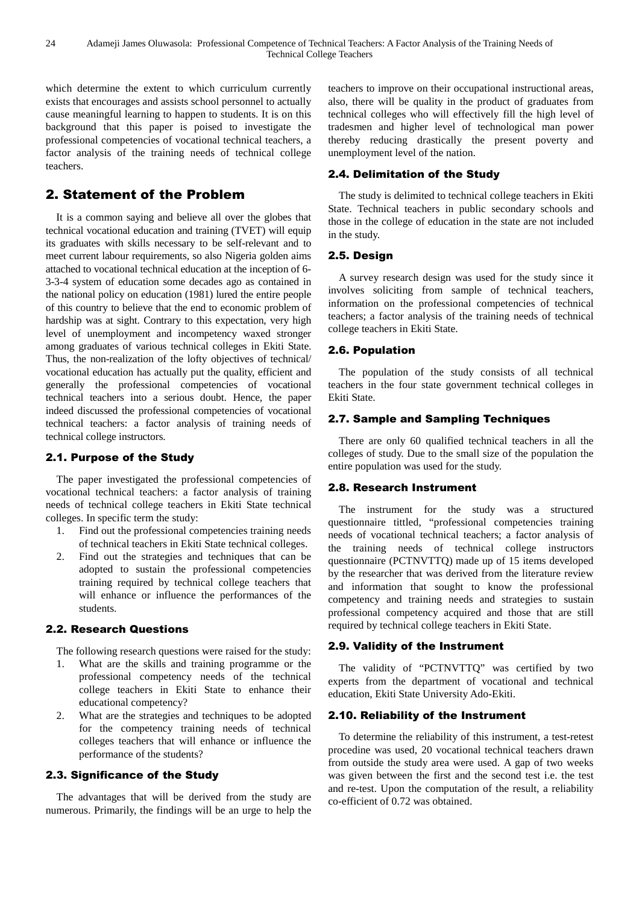which determine the extent to which curriculum currently exists that encourages and assists school personnel to actually cause meaningful learning to happen to students. It is on this background that this paper is poised to investigate the professional competencies of vocational technical teachers, a factor analysis of the training needs of technical college teachers.

# 2. Statement of the Problem

It is a common saying and believe all over the globes that technical vocational education and training (TVET) will equip its graduates with skills necessary to be self-relevant and to meet current labour requirements, so also Nigeria golden aims attached to vocational technical education at the inception of 6- 3-3-4 system of education some decades ago as contained in the national policy on education (1981) lured the entire people of this country to believe that the end to economic problem of hardship was at sight. Contrary to this expectation, very high level of unemployment and incompetency waxed stronger among graduates of various technical colleges in Ekiti State. Thus, the non-realization of the lofty objectives of technical/ vocational education has actually put the quality, efficient and generally the professional competencies of vocational technical teachers into a serious doubt. Hence, the paper indeed discussed the professional competencies of vocational technical teachers: a factor analysis of training needs of technical college instructors.

#### 2.1. Purpose of the Study

The paper investigated the professional competencies of vocational technical teachers: a factor analysis of training needs of technical college teachers in Ekiti State technical colleges. In specific term the study:

- 1. Find out the professional competencies training needs of technical teachers in Ekiti State technical colleges.
- 2. Find out the strategies and techniques that can be adopted to sustain the professional competencies training required by technical college teachers that will enhance or influence the performances of the students.

#### 2.2. Research Questions

The following research questions were raised for the study:

- 1. What are the skills and training programme or the professional competency needs of the technical college teachers in Ekiti State to enhance their educational competency?
- 2. What are the strategies and techniques to be adopted for the competency training needs of technical colleges teachers that will enhance or influence the performance of the students?

#### 2.3. Significance of the Study

The advantages that will be derived from the study are numerous. Primarily, the findings will be an urge to help the

teachers to improve on their occupational instructional areas, also, there will be quality in the product of graduates from technical colleges who will effectively fill the high level of tradesmen and higher level of technological man power thereby reducing drastically the present poverty and unemployment level of the nation.

#### 2.4. Delimitation of the Study

The study is delimited to technical college teachers in Ekiti State. Technical teachers in public secondary schools and those in the college of education in the state are not included in the study.

#### 2.5. Design

A survey research design was used for the study since it involves soliciting from sample of technical teachers, information on the professional competencies of technical teachers; a factor analysis of the training needs of technical college teachers in Ekiti State.

#### 2.6. Population

The population of the study consists of all technical teachers in the four state government technical colleges in Ekiti State.

#### 2.7. Sample and Sampling Techniques

There are only 60 qualified technical teachers in all the colleges of study. Due to the small size of the population the entire population was used for the study.

#### 2.8. Research Instrument

The instrument for the study was a structured questionnaire tittled, "professional competencies training needs of vocational technical teachers; a factor analysis of the training needs of technical college instructors questionnaire (PCTNVTTQ) made up of 15 items developed by the researcher that was derived from the literature review and information that sought to know the professional competency and training needs and strategies to sustain professional competency acquired and those that are still required by technical college teachers in Ekiti State.

#### 2.9. Validity of the Instrument

The validity of "PCTNVTTQ" was certified by two experts from the department of vocational and technical education, Ekiti State University Ado-Ekiti.

#### 2.10. Reliability of the Instrument

To determine the reliability of this instrument, a test-retest procedine was used, 20 vocational technical teachers drawn from outside the study area were used. A gap of two weeks was given between the first and the second test i.e. the test and re-test. Upon the computation of the result, a reliability co-efficient of 0.72 was obtained.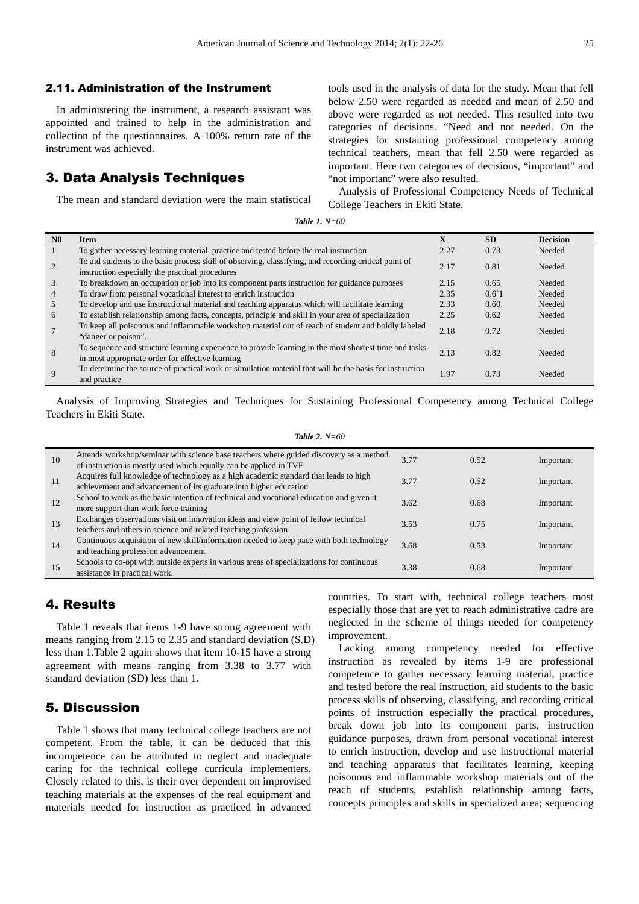#### 2.11. Administration of the Instrument

In administering the instrument, a research assistant was appointed and trained to help in the administration and collection of the questionnaires. A 100% return rate of the instrument was achieved.

#### 3. Data Analysis Techniques

The mean and standard deviation were the main statistical

tools used in the analysis of data for the study. Mean that fell below 2.50 were regarded as needed and mean of 2.50 and above were regarded as not needed. This resulted into two categories of decisions. "Need and not needed. On the strategies for sustaining professional competency among technical teachers, mean that fell 2.50 were regarded as important. Here two categories of decisions, "important" and "not important" were also resulted.

Analysis of Professional Competency Needs of Technical College Teachers in Ekiti State.

|  |  |  | Table 1. $N=60$ |
|--|--|--|-----------------|
|--|--|--|-----------------|

| N <sub>0</sub> | <b>Item</b>                                                                                                                                               | $\mathbf x$ | <b>SD</b>      | <b>Decision</b> |
|----------------|-----------------------------------------------------------------------------------------------------------------------------------------------------------|-------------|----------------|-----------------|
|                | To gather necessary learning material, practice and tested before the real instruction                                                                    | 2.27        | 0.73           | Needed          |
| 2              | To aid students to the basic process skill of observing, classifying, and recording critical point of<br>instruction especially the practical procedures  | 2.17        | 0.81           | Needed          |
| 3              | To breakdown an occupation or job into its component parts instruction for guidance purposes                                                              | 2.15        | 0.65           | Needed          |
| $\overline{4}$ | To draw from personal vocational interest to enrich instruction                                                                                           | 2.35        | $0.6^{\circ}1$ | Needed          |
| .5             | To develop and use instructional material and teaching apparatus which will facilitate learning                                                           | 2.33        | 0.60           | Needed          |
| 6              | To establish relationship among facts, concepts, principle and skill in your area of specialization                                                       | 2.25        | 0.62           | Needed          |
|                | To keep all poisonous and inflammable workshop material out of reach of student and boldly labeled<br>"danger or poison".                                 | 2.18        | 0.72           | Needed          |
| 8              | To sequence and structure learning experience to provide learning in the most shortest time and tasks<br>in most appropriate order for effective learning | 2.13        | 0.82           | Needed          |
| $\mathbf Q$    | To determine the source of practical work or simulation material that will be the basis for instruction<br>and practice                                   | 1.97        | 0.73           | Needed          |

Analysis of Improving Strategies and Techniques for Sustaining Professional Competency among Technical College Teachers in Ekiti State.

*Table 2. N=60* 

| 10  | Attends workshop/seminar with science base teachers where guided discovery as a method<br>of instruction is mostly used which equally can be applied in TVE | 3.77 | 0.52 | Important |
|-----|-------------------------------------------------------------------------------------------------------------------------------------------------------------|------|------|-----------|
| -11 | Acquires full knowledge of technology as a high academic standard that leads to high<br>achievement and advancement of its graduate into higher education   | 3.77 | 0.52 | Important |
| 12  | School to work as the basic intention of technical and vocational education and given it<br>more support than work force training                           | 3.62 | 0.68 | Important |
| 13  | Exchanges observations visit on innovation ideas and view point of fellow technical<br>teachers and others in science and related teaching profession       | 3.53 | 0.75 | Important |
| 14  | Continuous acquisition of new skill/information needed to keep pace with both technology<br>and teaching profession advancement                             | 3.68 | 0.53 | Important |
| 15  | Schools to co-opt with outside experts in various areas of specializations for continuous<br>assistance in practical work.                                  | 3.38 | 0.68 | Important |

## 4. Results

Table 1 reveals that items 1-9 have strong agreement with means ranging from 2.15 to 2.35 and standard deviation (S.D) less than 1.Table 2 again shows that item 10-15 have a strong agreement with means ranging from 3.38 to 3.77 with standard deviation (SD) less than 1.

## 5. Discussion

Table 1 shows that many technical college teachers are not competent. From the table, it can be deduced that this incompetence can be attributed to neglect and inadequate caring for the technical college curricula implementers. Closely related to this, is their over dependent on improvised teaching materials at the expenses of the real equipment and materials needed for instruction as practiced in advanced countries. To start with, technical college teachers most especially those that are yet to reach administrative cadre are neglected in the scheme of things needed for competency improvement.

Lacking among competency needed for effective instruction as revealed by items 1-9 are professional competence to gather necessary learning material, practice and tested before the real instruction, aid students to the basic process skills of observing, classifying, and recording critical points of instruction especially the practical procedures, break down job into its component parts, instruction guidance purposes, drawn from personal vocational interest to enrich instruction, develop and use instructional material and teaching apparatus that facilitates learning, keeping poisonous and inflammable workshop materials out of the reach of students, establish relationship among facts, concepts principles and skills in specialized area; sequencing